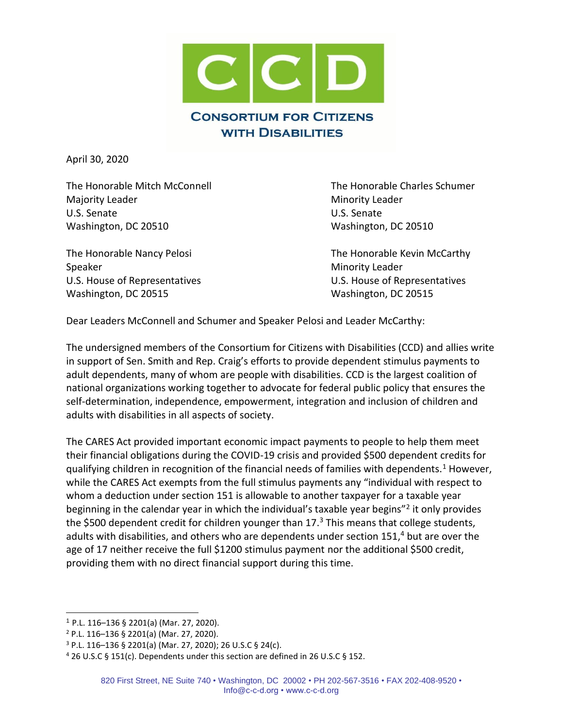

April 30, 2020

The Honorable Mitch McConnell The Honorable Charles Schumer Majority Leader **Minority Leader** Minority Leader U.S. Senate U.S. Senate Washington, DC 20510 Washington, DC 20510

Speaker Minority Leader Municipality Leader Washington, DC 20515 Washington, DC 20515

The Honorable Nancy Pelosi **The Honorable Kevin McCarthy** U.S. House of Representatives U.S. House of Representatives

Dear Leaders McConnell and Schumer and Speaker Pelosi and Leader McCarthy:

The undersigned members of the Consortium for Citizens with Disabilities (CCD) and allies write in support of Sen. Smith and Rep. Craig's efforts to provide dependent stimulus payments to adult dependents, many of whom are people with disabilities. CCD is the largest coalition of national organizations working together to advocate for federal public policy that ensures the self-determination, independence, empowerment, integration and inclusion of children and adults with disabilities in all aspects of society.

The CARES Act provided important economic impact payments to people to help them meet their financial obligations during the COVID-19 crisis and provided \$500 dependent credits for qualifying children in recognition of the financial needs of families with dependents.<sup>1</sup> However, while the CARES Act exempts from the full stimulus payments any "individual with respect to whom a deduction under section 151 is allowable to another taxpayer for a taxable year beginning in the calendar year in which the individual's taxable year begins"<sup>2</sup> it only provides the \$500 dependent credit for children younger than  $17<sup>3</sup>$  This means that college students, adults with disabilities, and others who are dependents under section 151, <sup>4</sup> but are over the age of 17 neither receive the full \$1200 stimulus payment nor the additional \$500 credit, providing them with no direct financial support during this time.

<sup>1</sup> P.L. 116–136 § 2201(a) (Mar. 27, 2020).

<sup>2</sup> P.L. 116–136 § 2201(a) (Mar. 27, 2020).

 $3$  P.L. 116–136 § 2201(a) (Mar. 27, 2020); 26 U.S.C § 24(c).

<sup>4</sup> 26 U.S.C § 151(c). Dependents under this section are defined in 26 U.S.C § 152.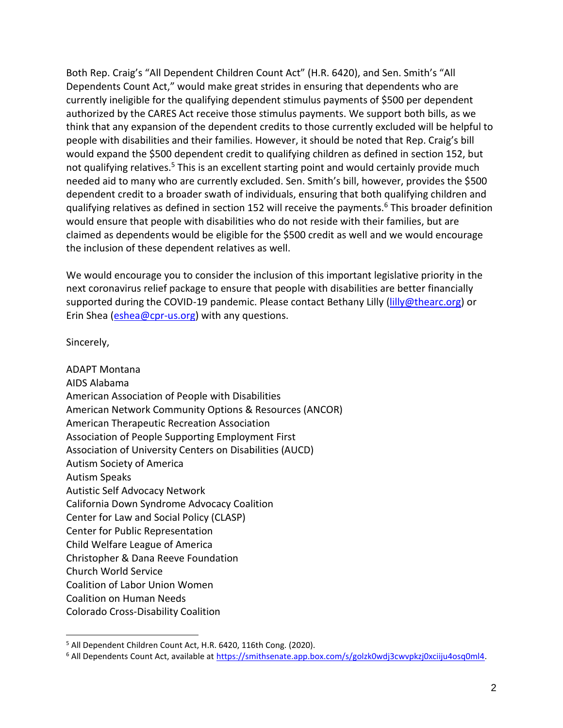Both Rep. Craig's "All Dependent Children Count Act" (H.R. 6420), and Sen. Smith's "All Dependents Count Act," would make great strides in ensuring that dependents who are currently ineligible for the qualifying dependent stimulus payments of \$500 per dependent authorized by the CARES Act receive those stimulus payments. We support both bills, as we think that any expansion of the dependent credits to those currently excluded will be helpful to people with disabilities and their families. However, it should be noted that Rep. Craig's bill would expand the \$500 dependent credit to qualifying children as defined in section 152, but not qualifying relatives.<sup>5</sup> This is an excellent starting point and would certainly provide much needed aid to many who are currently excluded. Sen. Smith's bill, however, provides the \$500 dependent credit to a broader swath of individuals, ensuring that both qualifying children and qualifying relatives as defined in section 152 will receive the payments.<sup>6</sup> This broader definition would ensure that people with disabilities who do not reside with their families, but are claimed as dependents would be eligible for the \$500 credit as well and we would encourage the inclusion of these dependent relatives as well.

We would encourage you to consider the inclusion of this important legislative priority in the next coronavirus relief package to ensure that people with disabilities are better financially supported during the COVID-19 pandemic. Please contact Bethany Lilly [\(lilly@thearc.org\)](mailto:lilly@thearc.org) or Erin Shea [\(eshea@cpr-us.org\)](mailto:eshea@cpr-us.org) with any questions.

Sincerely,

ADAPT Montana AIDS Alabama American Association of People with Disabilities American Network Community Options & Resources (ANCOR) American Therapeutic Recreation Association Association of People Supporting Employment First Association of University Centers on Disabilities (AUCD) Autism Society of America Autism Speaks Autistic Self Advocacy Network California Down Syndrome Advocacy Coalition Center for Law and Social Policy (CLASP) Center for Public Representation Child Welfare League of America Christopher & Dana Reeve Foundation Church World Service Coalition of Labor Union Women Coalition on Human Needs Colorado Cross-Disability Coalition

<sup>&</sup>lt;sup>5</sup> All Dependent Children Count Act, H.R. 6420, 116th Cong. (2020).

<sup>&</sup>lt;sup>6</sup> All Dependents Count Act, available at https://smithsenate.app.box.com/s/golzk0wdj3cwvpkzj0xciiju4osq0ml4.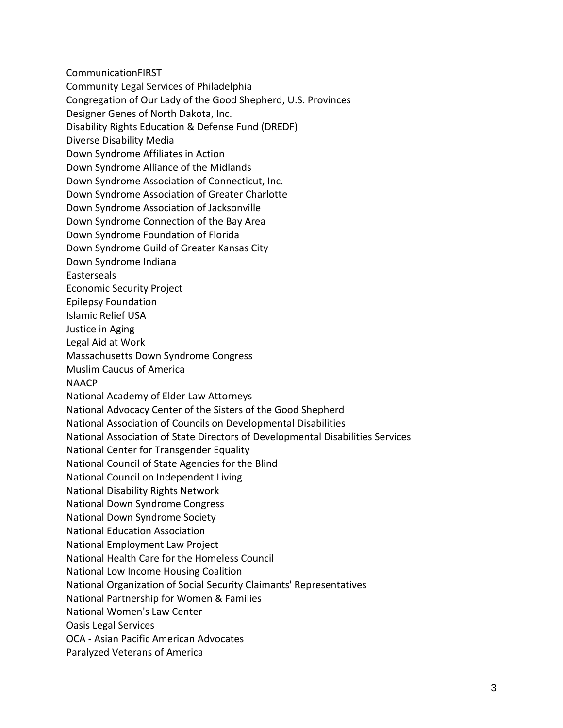CommunicationFIRST

Community Legal Services of Philadelphia

Congregation of Our Lady of the Good Shepherd, U.S. Provinces

Designer Genes of North Dakota, Inc.

Disability Rights Education & Defense Fund (DREDF)

Diverse Disability Media

Down Syndrome Affiliates in Action

Down Syndrome Alliance of the Midlands

Down Syndrome Association of Connecticut, Inc.

Down Syndrome Association of Greater Charlotte

Down Syndrome Association of Jacksonville

Down Syndrome Connection of the Bay Area

Down Syndrome Foundation of Florida

Down Syndrome Guild of Greater Kansas City

Down Syndrome Indiana

Easterseals

Economic Security Project

Epilepsy Foundation

Islamic Relief USA

Justice in Aging

Legal Aid at Work

Massachusetts Down Syndrome Congress

Muslim Caucus of America

NAACP

National Academy of Elder Law Attorneys

National Advocacy Center of the Sisters of the Good Shepherd

National Association of Councils on Developmental Disabilities

National Association of State Directors of Developmental Disabilities Services

National Center for Transgender Equality

National Council of State Agencies for the Blind

National Council on Independent Living

National Disability Rights Network

National Down Syndrome Congress

National Down Syndrome Society

National Education Association

National Employment Law Project

National Health Care for the Homeless Council

National Low Income Housing Coalition

National Organization of Social Security Claimants' Representatives

National Partnership for Women & Families

National Women's Law Center

Oasis Legal Services

OCA - Asian Pacific American Advocates

Paralyzed Veterans of America